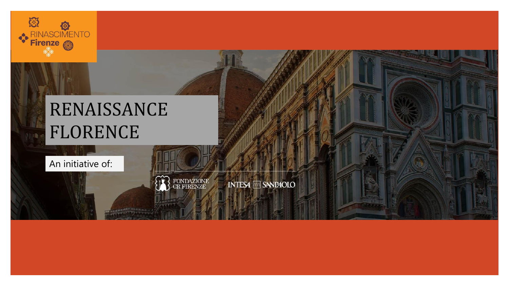

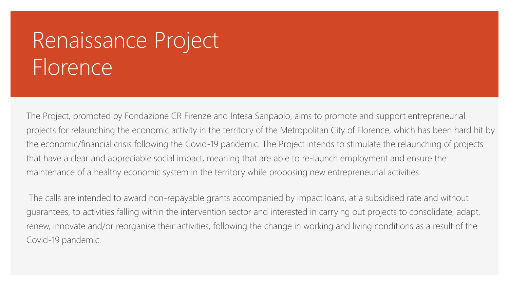# Renaissance Project Florence

The Project, promoted by Fondazione CR Firenze and Intesa Sanpaolo, aims to promote and support entrepreneurial projects for relaunching the economic activity in the territory of the Metropolitan City of Florence, which has been hard hit by the economic/financial crisis following the Covid-19 pandemic. The Project intends to stimulate the relaunching of projects that have a clear and appreciable social impact, meaning that are able to re-launch employment and ensure the maintenance of a healthy economic system in the territory while proposing new entrepreneurial activities.

The calls are intended to award non-repayable grants accompanied by impact loans, at a subsidised rate and without guarantees, to activities falling within the intervention sector and interested in carrying out projects to consolidate, adapt, renew, innovate and/or reorganise their activities, following the change in working and living conditions as a result of the Covid-19 pandemic.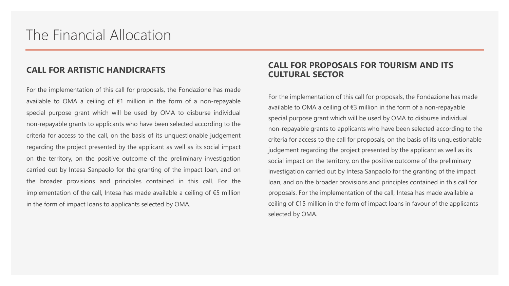#### **CALL FOR ARTISTIC HANDICRAFTS**

For the implementation of this call for proposals, the Fondazione has made available to OMA a ceiling of  $€1$  million in the form of a non-repayable special purpose grant which will be used by OMA to disburse individual non-repayable grants to applicants who have been selected according to the criteria for access to the call, on the basis of its unquestionable judgement regarding the project presented by the applicant as well as its social impact on the territory, on the positive outcome of the preliminary investigation carried out by Intesa Sanpaolo for the granting of the impact loan, and on the broader provisions and principles contained in this call. For the implementation of the call, Intesa has made available a ceiling of €5 million in the form of impact loans to applicants selected by OMA.

#### **CALL FOR PROPOSALS FOR TOURISM AND ITS CULTURAL SECTOR**

For the implementation of this call for proposals, the Fondazione has made available to OMA a ceiling of €3 million in the form of a non-repayable special purpose grant which will be used by OMA to disburse individual non-repayable grants to applicants who have been selected according to the criteria for access to the call for proposals, on the basis of its unquestionable judgement regarding the project presented by the applicant as well as its social impact on the territory, on the positive outcome of the preliminary investigation carried out by Intesa Sanpaolo for the granting of the impact loan, and on the broader provisions and principles contained in this call for proposals. For the implementation of the call, Intesa has made available a ceiling of €15 million in the form of impact loans in favour of the applicants selected by OMA.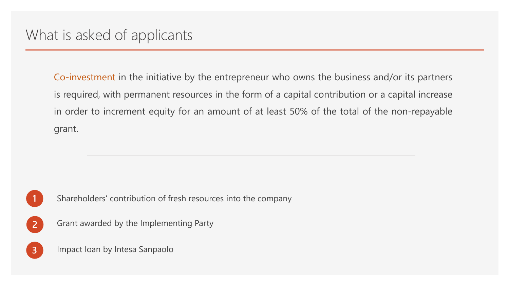Co-investment in the initiative by the entrepreneur who owns the business and/or its partners is required, with permanent resources in the form of a capital contribution or a capital increase in order to increment equity for an amount of at least 50% of the total of the non-repayable grant.



**1** Shareholders' contribution of fresh resources into the company

**2** Grant awarded by the Implementing Party

**3** Impact loan by Intesa Sanpaolo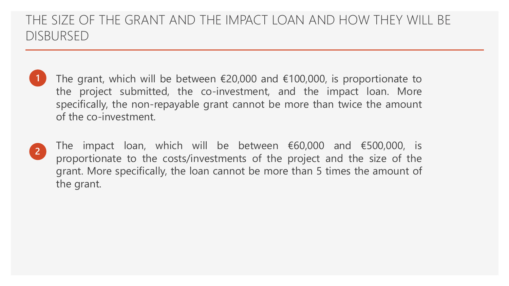### THE SIZE OF THE GRANT AND THE IMPACT LOAN AND HOW THEY WILL BE DISBURSED

**1** The grant, which will be between €20,000 and €100,000, is proportionate to the project submitted, the co-investment, and the impact loan. More specifically, the non-repayable grant cannot be more than twice the amount of the co-investment.



The impact loan, which will be between  $€60,000$  and  $€500,000$ , is proportionate to the costs/investments of the project and the size of the grant. More specifically, the loan cannot be more than 5 times the amount of the grant.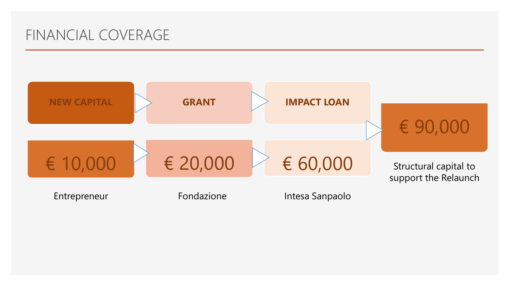## FINANCIAL COVERAGE